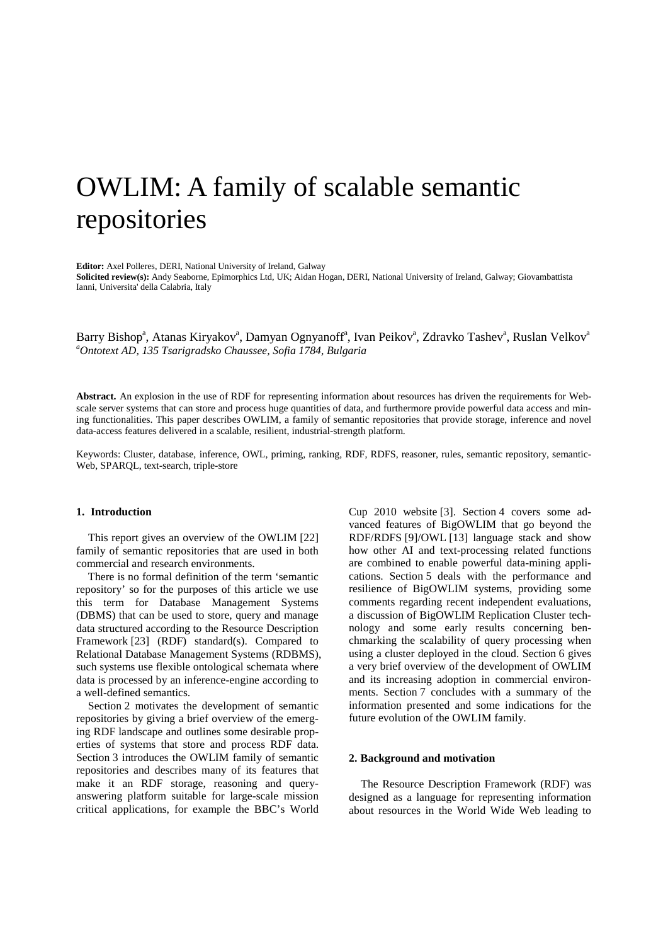# OWLIM: A family of scalable semantic repositories

**Editor:** Axel Polleres, DERI, National University of Ireland, Galway

**Solicited review(s):** Andy Seaborne, Epimorphics Ltd, UK; Aidan Hogan, DERI, National University of Ireland, Galway; Giovambattista Ianni, Universita' della Calabria, Italy

Barry Bishop<sup>a</sup>, Atanas Kiryakov<sup>a</sup>, Damyan Ognyanoff<sup>a</sup>, Ivan Peikov<sup>a</sup>, Zdravko Tashev<sup>a</sup>, Ruslan Velkov<sup>a</sup> *a Ontotext AD, 135 Tsarigradsko Chaussee, Sofia 1784, Bulgaria*

**Abstract.** An explosion in the use of RDF for representing information about resources has driven the requirements for Webscale server systems that can store and process huge quantities of data, and furthermore provide powerful data access and mining functionalities. This paper describes OWLIM, a family of semantic repositories that provide storage, inference and novel data-access features delivered in a scalable, resilient, industrial-strength platform.

Keywords: Cluster, database, inference, OWL, priming, ranking, RDF, RDFS, reasoner, rules, semantic repository, semantic-Web, SPARQL, text-search, triple-store

### **1. Introduction**

This report gives an overview of the OWLIM [\[22\]](#page-9-0) family of semantic repositories that are used in both commercial and research environments.

There is no formal definition of the term 'semantic repository' so for the purposes of this article we use this term for Database Management Systems (DBMS) that can be used to store, query and manage data structured according to the Resource Description Framework [\[23\]](#page-9-1) (RDF) standard(s). Compared to Relational Database Management Systems (RDBMS), such systems use flexible ontological schemata where data is processed by an inference-engine according to a well-defined semantics.

Section [2](#page-0-0) motivates the development of semantic repositories by giving a brief overview of the emerging RDF landscape and outlines some desirable properties of systems that store and process RDF data. Section 3 introduces the OWLIM family of semantic repositories and describes many of its features that make it an RDF storage, reasoning and queryanswering platform suitable for large-scale mission critical applications, for example the BBC's World

Cup 2010 website [\[3\]](#page-9-2). Section 4 covers some advanced features of BigOWLIM that go beyond the RDF/RDFS [\[9\]](#page-9-3)/OWL [\[13\]](#page-9-4) language stack and show how other AI and text-processing related functions are combined to enable powerful data-mining applications. Section [5](#page-6-0) deals with the performance and resilience of BigOWLIM systems, providing some comments regarding recent independent evaluations, a discussion of BigOWLIM Replication Cluster technology and some early results concerning benchmarking the scalability of query processing when using a cluster deployed in the cloud. Section [6](#page-8-0) gives a very brief overview of the development of OWLIM and its increasing adoption in commercial environments. Section [7](#page-8-1) concludes with a summary of the information presented and some indications for the future evolution of the OWLIM family.

## <span id="page-0-0"></span>**2. Background and motivation**

The Resource Description Framework (RDF) was designed as a language for representing information about resources in the World Wide Web leading to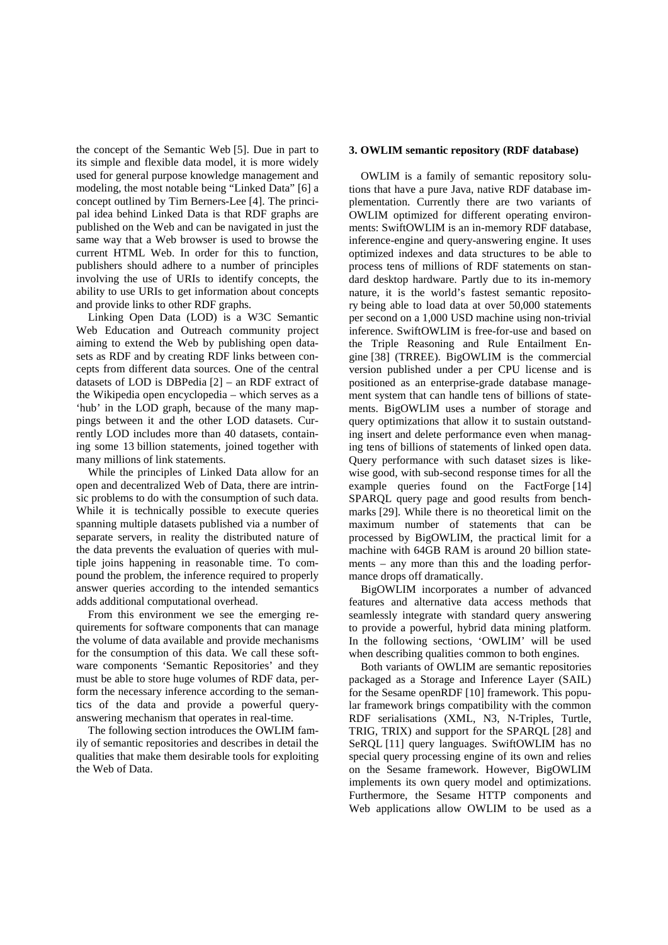the concept of the Semantic Web [\[5\]](#page-9-5). Due in part to its simple and flexible data model, it is more widely used for general purpose knowledge management and modeling, the most notable being "Linked Data" [\[6\]](#page-9-6) a concept outlined by Tim Berners-Lee [\[4\]](#page-9-7). The principal idea behind Linked Data is that RDF graphs are published on the Web and can be navigated in just the same way that a Web browser is used to browse the current HTML Web. In order for this to function, publishers should adhere to a number of principles involving the use of URIs to identify concepts, the ability to use URIs to get information about concepts and provide links to other RDF graphs.

Linking Open Data (LOD) is a W3C Semantic Web Education and Outreach community project aiming to extend the Web by publishing open datasets as RDF and by creating RDF links between concepts from different data sources. One of the central datasets of LOD is DBPedia [\[2\]](#page-9-8) – an RDF extract of the Wikipedia open encyclopedia – which serves as a 'hub' in the LOD graph, because of the many mappings between it and the other LOD datasets. Currently LOD includes more than 40 datasets, containing some 13 billion statements, joined together with many millions of link statements.

While the principles of Linked Data allow for an open and decentralized Web of Data, there are intrinsic problems to do with the consumption of such data. While it is technically possible to execute queries spanning multiple datasets published via a number of separate servers, in reality the distributed nature of the data prevents the evaluation of queries with multiple joins happening in reasonable time. To compound the problem, the inference required to properly answer queries according to the intended semantics adds additional computational overhead.

From this environment we see the emerging requirements for software components that can manage the volume of data available and provide mechanisms for the consumption of this data. We call these software components 'Semantic Repositories' and they must be able to store huge volumes of RDF data, perform the necessary inference according to the semantics of the data and provide a powerful queryanswering mechanism that operates in real-time.

The following section introduces the OWLIM family of semantic repositories and describes in detail the qualities that make them desirable tools for exploiting the Web of Data.

#### **3. OWLIM semantic repository (RDF database)**

OWLIM is a family of semantic repository solutions that have a pure Java, native RDF database implementation. Currently there are two variants of OWLIM optimized for different operating environments: SwiftOWLIM is an in-memory RDF database, inference-engine and query-answering engine. It uses optimized indexes and data structures to be able to process tens of millions of RDF statements on standard desktop hardware. Partly due to its in-memory nature, it is the world's fastest semantic repository being able to load data at over 50,000 statements per second on a 1,000 USD machine using non-trivial inference. SwiftOWLIM is free-for-use and based on the Triple Reasoning and Rule Entailment Engine [\[38\]](#page-9-9) (TRREE). BigOWLIM is the commercial version published under a per CPU license and is positioned as an enterprise-grade database management system that can handle tens of billions of statements. BigOWLIM uses a number of storage and query optimizations that allow it to sustain outstanding insert and delete performance even when managing tens of billions of statements of linked open data. Query performance with such dataset sizes is likewise good, with sub-second response times for all the example queries found on the FactForge [\[14\]](#page-9-10) SPARQL query page and good results from benchmarks [\[29\]](#page-9-11). While there is no theoretical limit on the maximum number of statements that can be processed by BigOWLIM, the practical limit for a machine with 64GB RAM is around 20 billion statements – any more than this and the loading performance drops off dramatically.

BigOWLIM incorporates a number of advanced features and alternative data access methods that seamlessly integrate with standard query answering to provide a powerful, hybrid data mining platform. In the following sections, 'OWLIM' will be used when describing qualities common to both engines.

Both variants of OWLIM are semantic repositories packaged as a Storage and Inference Layer (SAIL) for the Sesame openRDF [\[10\]](#page-9-12) framework. This popular framework brings compatibility with the common RDF serialisations (XML, N3, N-Triples, Turtle, TRIG, TRIX) and support for the SPARQL [\[28\]](#page-9-13) and SeRQL [\[11\]](#page-9-14) query languages. SwiftOWLIM has no special query processing engine of its own and relies on the Sesame framework. However, BigOWLIM implements its own query model and optimizations. Furthermore, the Sesame HTTP components and Web applications allow OWLIM to be used as a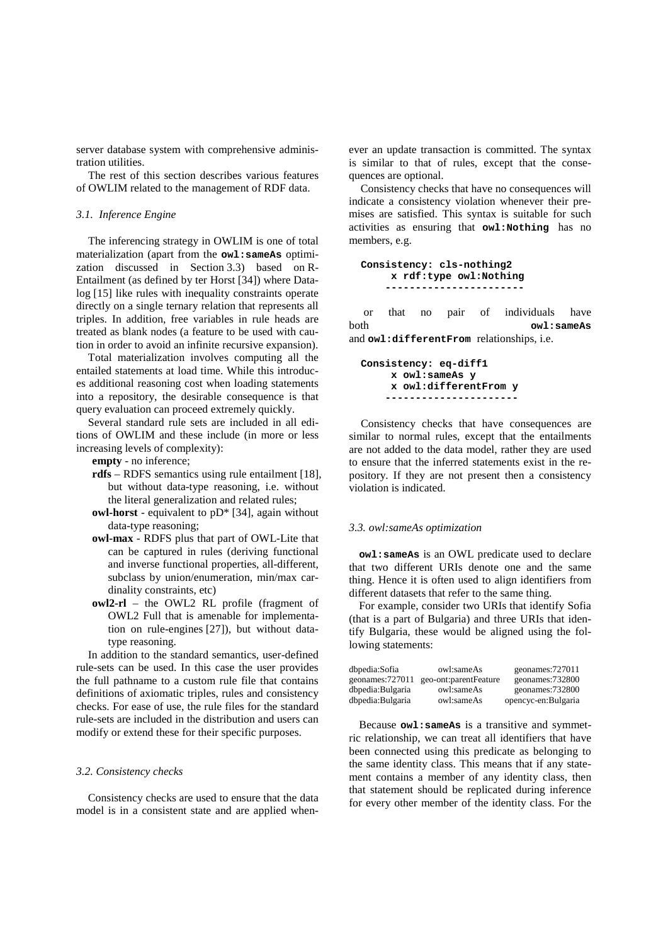server database system with comprehensive administration utilities.

The rest of this section describes various features of OWLIM related to the management of RDF data.

## *3.1. Inference Engine*

The inferencing strategy in OWLIM is one of total materialization (apart from the **owl:sameAs** optimi-zation discussed in Section [3.3](#page-2-0)) based on R-Entailment (as defined by ter Horst [\[34\]](#page-9-15)) where Datalog [\[15\]](#page-9-16) like rules with inequality constraints operate directly on a single ternary relation that represents all triples. In addition, free variables in rule heads are treated as blank nodes (a feature to be used with caution in order to avoid an infinite recursive expansion).

Total materialization involves computing all the entailed statements at load time. While this introduces additional reasoning cost when loading statements into a repository, the desirable consequence is that query evaluation can proceed extremely quickly.

Several standard rule sets are included in all editions of OWLIM and these include (in more or less increasing levels of complexity):

**empty** - no inference;

- **rdfs** RDFS semantics using rule entailment [\[18\]](#page-9-17), but without data-type reasoning, i.e. without the literal generalization and related rules;
- **owl-horst** equivalent to pD\* [\[34\]](#page-9-15), again without data-type reasoning;
- **owl-max** RDFS plus that part of OWL-Lite that can be captured in rules (deriving functional and inverse functional properties, all-different, subclass by union/enumeration, min/max cardinality constraints, etc)
- **owl2-rl** the OWL2 RL profile (fragment of OWL2 Full that is amenable for implementation on rule-engines [\[27\]](#page-9-18)), but without datatype reasoning.

In addition to the standard semantics, user-defined rule-sets can be used. In this case the user provides the full pathname to a custom rule file that contains definitions of axiomatic triples, rules and consistency checks. For ease of use, the rule files for the standard rule-sets are included in the distribution and users can modify or extend these for their specific purposes.

## *3.2. Consistency checks*

Consistency checks are used to ensure that the data model is in a consistent state and are applied when-

ever an update transaction is committed. The syntax is similar to that of rules, except that the consequences are optional.

Consistency checks that have no consequences will indicate a consistency violation whenever their premises are satisfied. This syntax is suitable for such activities as ensuring that **owl:Nothing** has no members, e.g.

**Consistency: cls-nothing2 x rdf:type owl:Nothing -----------------------**

or that no pair of individuals have<br>both owl:same. both **owl:sameAs** and **owl:differentFrom** relationships, i.e.

**Consistency: eq-diff1 x owl:sameAs y x owl:differentFrom y ----------------------**

Consistency checks that have consequences are similar to normal rules, except that the entailments are not added to the data model, rather they are used to ensure that the inferred statements exist in the repository. If they are not present then a consistency violation is indicated.

## <span id="page-2-0"></span>*3.3. owl:sameAs optimization*

**owl:sameAs** is an OWL predicate used to declare that two different URIs denote one and the same thing. Hence it is often used to align identifiers from different datasets that refer to the same thing.

For example, consider two URIs that identify Sofia (that is a part of Bulgaria) and three URIs that identify Bulgaria, these would be aligned using the following statements:

| dbpedia:Sofia    | owl:sameAs            | geonames:727011     |
|------------------|-----------------------|---------------------|
| geonames: 727011 | geo-ont:parentFeature | geonames:732800     |
| dbpedia:Bulgaria | owl:sameAs            | geonames: 732800    |
| dbpedia:Bulgaria | owl:sameAs            | opencyc-en:Bulgaria |

Because **owl:sameAs** is a transitive and symmetric relationship, we can treat all identifiers that have been connected using this predicate as belonging to the same identity class. This means that if any statement contains a member of any identity class, then that statement should be replicated during inference for every other member of the identity class. For the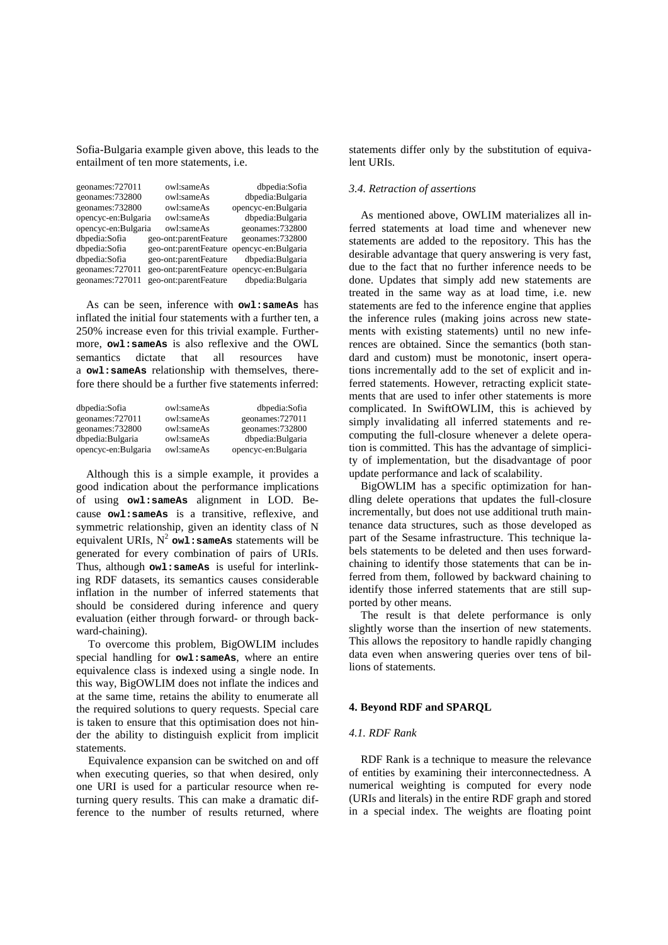Sofia-Bulgaria example given above, this leads to the entailment of ten more statements, i.e.

| geonames: 727011    | owl:sameAs                                | dbpedia:Sofia       |
|---------------------|-------------------------------------------|---------------------|
| geonames: 732800    | owl:sameAs                                | dbpedia:Bulgaria    |
| geonames: 732800    | owl:sameAs                                | opencyc-en:Bulgaria |
| opencyc-en:Bulgaria | owl:sameAs                                | dbpedia:Bulgaria    |
| opencyc-en:Bulgaria | owl:sameAs                                | geonames: 732800    |
| dbpedia:Sofia       | geo-ont:parentFeature                     | geonames: 732800    |
| dbpedia:Sofia       | geo-ont:parentFeature opencyc-en:Bulgaria |                     |
| dbpedia:Sofia       | geo-ont:parentFeature                     | dbpedia:Bulgaria    |
| geonames:727011     | geo-ont:parentFeature opencyc-en:Bulgaria |                     |
| geonames:727011     | geo-ont:parentFeature                     | dbpedia:Bulgaria    |

As can be seen, inference with **owl:sameAs** has inflated the initial four statements with a further ten, a 250% increase even for this trivial example. Furthermore, **owl:sameAs** is also reflexive and the OWL<br>semantics dictate that all resources have semantics dictate that a **owl:sameAs** relationship with themselves, therefore there should be a further five statements inferred:

| dbpedia:Sofia       | owl:sameAs | dbpedia:Sofia       |
|---------------------|------------|---------------------|
| geonames: 727011    | owl:sameAs | geonames: 727011    |
| geonames: 732800    | owl:sameAs | geonames: 732800    |
| dbpedia:Bulgaria    | owl:sameAs | dbpedia:Bulgaria    |
| opencyc-en:Bulgaria | owl:sameAs | opencyc-en:Bulgaria |

Although this is a simple example, it provides a good indication about the performance implications of using **owl:sameAs** alignment in LOD. Because **owl:sameAs** is a transitive, reflexive, and symmetric relationship, given an identity class of N equivalent URIs,  $N^2$  owl: same As statements will be generated for every combination of pairs of URIs. Thus, although **owl:sameAs**  is useful for interlinking RDF datasets, its semantics causes considerable inflation in the number of inferred statements that should be considered during inference and query evaluation (either through forward- or through backward-chaining).

To overcome this problem, BigOWLIM includes special handling for **owl:sameAs** , where an entire equivalence class is indexed using a single node. In this way, BigOWLIM does not inflate the indices and at the same time, retains the ability to enumerate all the required solutions to query requests. Special care is taken to ensure that this optimisation does not hinder the ability to distinguish explicit from implicit statements.

Equivalence expansion can be switched on and off when executing queries, so that when desired, only one URI is used for a particular resource when returning query results. This can make a dramatic difference to the number of results returned, where statements differ only by the substitution of equivalent URIs.

## *3.4. Retraction of assertions*

As mentioned above, OWLIM materializes all inferred statements at load time and whenever new statements are added to the repository. This has the desirable advantage that query answering is very fast, due to the fact that no further inference needs to be done. Updates that simply add new statements are treated in the same way as at load time, i.e. new statements are fed to the inference engine that applies the inference rules (making joins across new statements with existing statements) until no new inferences are obtained. Since the semantics (both standard and custom) must be monotonic, insert operations incrementally add to the set of explicit and inferred statements. However, retracting explicit statements that are used to infer other statements is more complicated. In SwiftOWLIM, this is achieved by simply invalidating all inferred statements and recomputing the full-closure whenever a delete operation is committed. This has the advantage of simplicity of implementation, but the disadvantage of poor update performance and lack of scalability.

BigOWLIM has a specific optimization for handling delete operations that updates the full-closure incrementally, but does not use additional truth maintenance data structures, such as those developed as part of the Sesame infrastructure. This technique labels statements to be deleted and then uses forwardchaining to identify those statements that can be inferred from them, followed by backward chaining to identify those inferred statements that are still supported by other means.

The result is that delete performance is only slightly worse than the insertion of new statements. This allows the repository to handle rapidly changing data even when answering queries over tens of billions of statements.

## **4. Beyond RDF and SPARQL**

#### *4.1. RDF Rank*

RDF Rank is a technique to measure the relevance of entities by examining their interconnectedness. A numerical weighting is computed for every node (URIs and literals) in the entire RDF graph and stored in a special index. The weights are floating point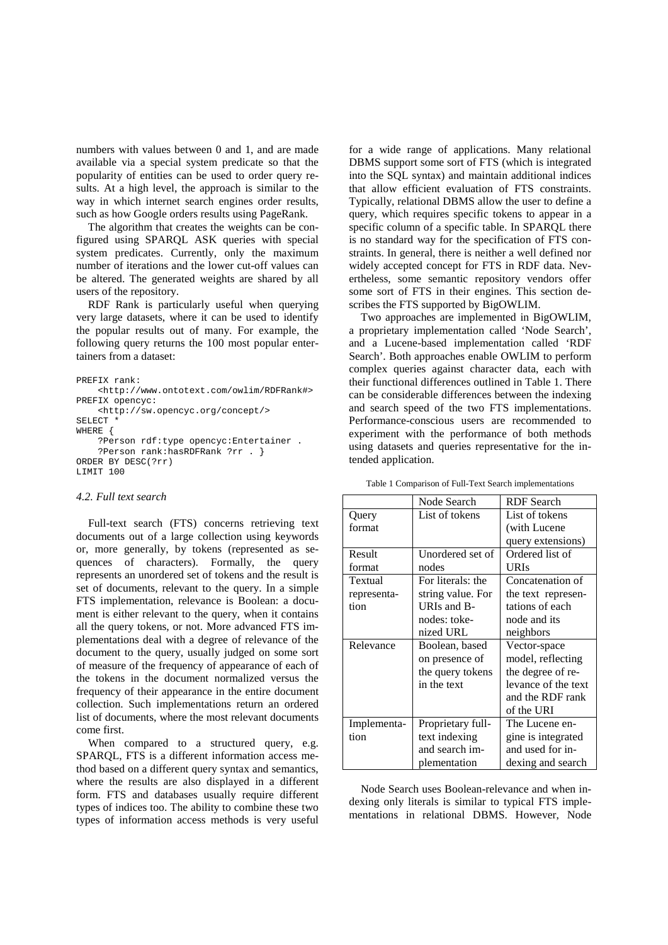numbers with values between 0 and 1, and are made available via a special system predicate so that the popularity of entities can be used to order query results. At a high level, the approach is similar to the way in which internet search engines order results, such as how Google orders results using PageRank.

The algorithm that creates the weights can be configured using SPARQL ASK queries with special system predicates. Currently, only the maximum number of iterations and the lower cut-off values can be altered. The generated weights are shared by all users of the repository.

RDF Rank is particularly useful when querying very large datasets, where it can be used to identify the popular results out of many. For example, the following query returns the 100 most popular entertainers from a dataset:

```
PREFIX rank:
     <http://www.ontotext.com/owlim/RDFRank#>
PREFIX opencyc:
     <http://sw.opencyc.org/concept/>
SELECT *
WHERE {
     ?Person rdf:type opencyc:Entertainer .
     ?Person rank:hasRDFRank ?rr . }
ORDER BY DESC(?rr)
LIMIT 100
```
## *4.2. Full text search*

Full-text search (FTS) concerns retrieving text documents out of a large collection using keywords or, more generally, by tokens (represented as sequences of characters). Formally, the query represents an unordered set of tokens and the result is set of documents, relevant to the query. In a simple FTS implementation, relevance is Boolean: a document is either relevant to the query, when it contains all the query tokens, or not. More advanced FTS implementations deal with a degree of relevance of the document to the query, usually judged on some sort of measure of the frequency of appearance of each of the tokens in the document normalized versus the frequency of their appearance in the entire document collection. Such implementations return an ordered list of documents, where the most relevant documents come first.

When compared to a structured query, e.g. SPARQL, FTS is a different information access method based on a different query syntax and semantics, where the results are also displayed in a different form. FTS and databases usually require different types of indices too. The ability to combine these two types of information access methods is very useful

for a wide range of applications. Many relational DBMS support some sort of FTS (which is integrated into the SQL syntax) and maintain additional indices that allow efficient evaluation of FTS constraints. Typically, relational DBMS allow the user to define a query, which requires specific tokens to appear in a specific column of a specific table. In SPARQL there is no standard way for the specification of FTS constraints. In general, there is neither a well defined nor widely accepted concept for FTS in RDF data. Nevertheless, some semantic repository vendors offer some sort of FTS in their engines. This section describes the FTS supported by BigOWLIM.

Two approaches are implemented in BigOWLIM, a proprietary implementation called 'Node Search', and a Lucene-based implementation called 'RDF Search'. Both approaches enable OWLIM to perform complex queries against character data, each with their functional differences outlined in [Table 1.](#page-4-0) There can be considerable differences between the indexing and search speed of the two FTS implementations. Performance-conscious users are recommended to experiment with the performance of both methods using datasets and queries representative for the intended application.

<span id="page-4-0"></span>

|             | Node Search       | <b>RDF</b> Search   |
|-------------|-------------------|---------------------|
| Query       | List of tokens    | List of tokens      |
| format      |                   | (with Lucene        |
|             |                   | query extensions)   |
| Result      | Unordered set of  | Ordered list of     |
| format      | nodes             | URIs                |
| Textual     | For literals: the | Concatenation of    |
| representa- | string value. For | the text represen-  |
| tion        | URIs and B-       | tations of each     |
|             | nodes: toke-      | node and its        |
|             | nized URL         | neighbors           |
| Relevance   | Boolean, based    | Vector-space        |
|             | on presence of    | model, reflecting   |
|             | the query tokens  | the degree of re-   |
|             | in the text       | levance of the text |
|             |                   | and the RDF rank    |
|             |                   | of the URI          |
| Implementa- | Proprietary full- | The Lucene en-      |
| tion        | text indexing     | gine is integrated  |
|             | and search im-    | and used for in-    |
|             | plementation      | dexing and search   |

Table 1 Comparison of Full-Text Search implementations

Node Search uses Boolean-relevance and when indexing only literals is similar to typical FTS implementations in relational DBMS. However, Node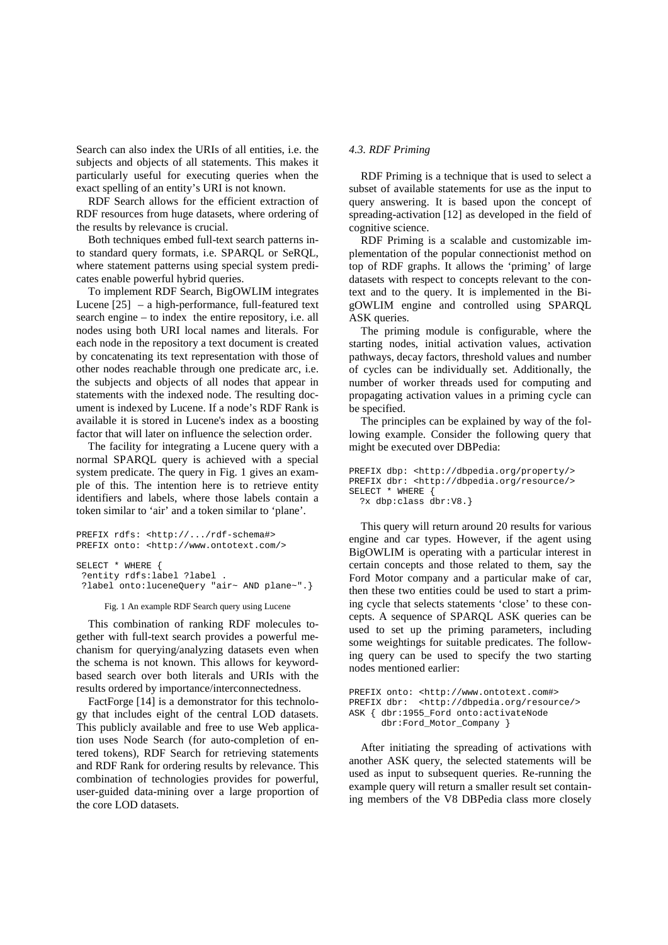Search can also index the URIs of all entities, i.e. the subjects and objects of all statements. This makes it particularly useful for executing queries when the exact spelling of an entity's URI is not known.

RDF Search allows for the efficient extraction of RDF resources from huge datasets, where ordering of the results by relevance is crucial.

Both techniques embed full-text search patterns into standard query formats, i.e. SPARQL or SeRQL, where statement patterns using special system predicates enable powerful hybrid queries.

To implement RDF Search, BigOWLIM integrates Lucene [\[25\]](#page-9-19) – a high-performance, full-featured text search engine – to index the entire repository, i.e. all nodes using both URI local names and literals. For each node in the repository a text document is created by concatenating its text representation with those of other nodes reachable through one predicate arc, i.e. the subjects and objects of all nodes that appear in statements with the indexed node. The resulting document is indexed by Lucene. If a node's RDF Rank is available it is stored in Lucene's index as a boosting factor that will later on influence the selection order.

The facility for integrating a Lucene query with a normal SPARQL query is achieved with a special system predicate. The query in [Fig. 1](#page-5-0) gives an example of this. The intention here is to retrieve entity identifiers and labels, where those labels contain a token similar to 'air' and a token similar to 'plane'.

```
PREFIX rdfs: <http://.../rdf-schema#>
PREFIX onto: <http://www.ontotext.com/>
SELECT * WHERE {
 ?entity rdfs:label ?label .
 ?label onto:luceneQuery "air~ AND plane~".}
```
Fig. 1 An example RDF Search query using Lucene

<span id="page-5-0"></span>This combination of ranking RDF molecules together with full-text search provides a powerful mechanism for querying/analyzing datasets even when the schema is not known. This allows for keywordbased search over both literals and URIs with the results ordered by importance/interconnectedness.

FactForge [\[14\]](#page-9-10) is a demonstrator for this technology that includes eight of the central LOD datasets. This publicly available and free to use Web application uses Node Search (for auto-completion of entered tokens), RDF Search for retrieving statements and RDF Rank for ordering results by relevance. This combination of technologies provides for powerful, user-guided data-mining over a large proportion of the core LOD datasets.

#### *4.3. RDF Priming*

RDF Priming is a technique that is used to select a subset of available statements for use as the input to query answering. It is based upon the concept of spreading-activation [\[12\]](#page-9-20) as developed in the field of cognitive science.

RDF Priming is a scalable and customizable implementation of the popular connectionist method on top of RDF graphs. It allows the 'priming' of large datasets with respect to concepts relevant to the context and to the query. It is implemented in the BigOWLIM engine and controlled using SPARQL ASK queries.

The priming module is configurable, where the starting nodes, initial activation values, activation pathways, decay factors, threshold values and number of cycles can be individually set. Additionally, the number of worker threads used for computing and propagating activation values in a priming cycle can be specified.

The principles can be explained by way of the following example. Consider the following query that might be executed over DBPedia:

```
PREFIX dbp: <http://dbpedia.org/property/>
PREFIX dbr: <http://dbpedia.org/resource/>
SELECT * WHERE {
  ?x dbp:class dbr:V8.}
```
This query will return around 20 results for various engine and car types. However, if the agent using BigOWLIM is operating with a particular interest in certain concepts and those related to them, say the Ford Motor company and a particular make of car, then these two entities could be used to start a priming cycle that selects statements 'close' to these concepts. A sequence of SPARQL ASK queries can be used to set up the priming parameters, including some weightings for suitable predicates. The following query can be used to specify the two starting nodes mentioned earlier:

```
PREFIX onto: <http://www.ontotext.com#>
PREFIX dbr: <http://dbpedia.org/resource/>
ASK { dbr:1955_Ford onto:activateNode
       dbr:Ford_Motor_Company }
```
After initiating the spreading of activations with another ASK query, the selected statements will be used as input to subsequent queries. Re-running the example query will return a smaller result set containing members of the V8 DBPedia class more closely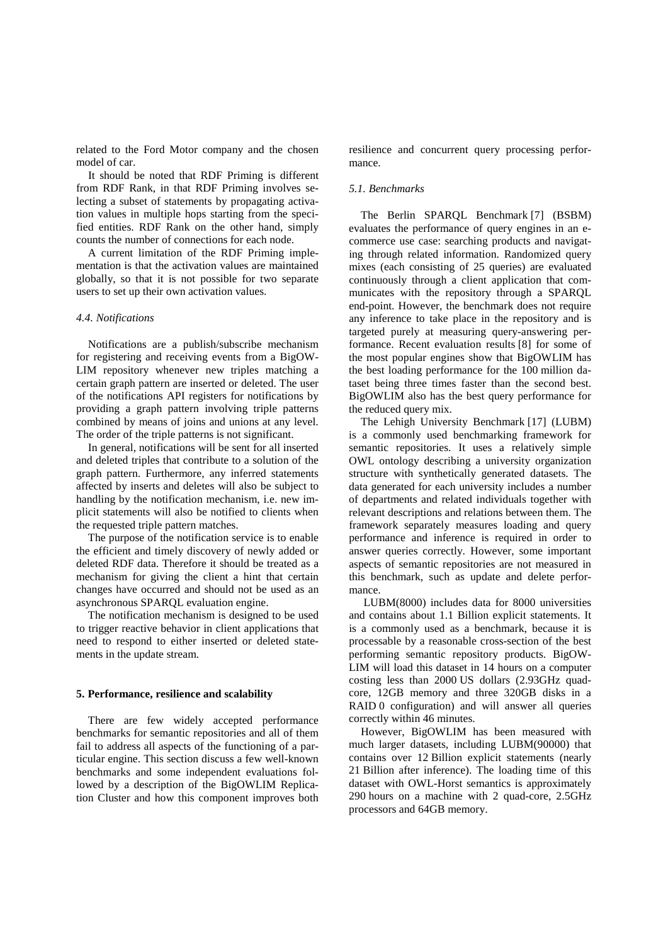related to the Ford Motor company and the chosen model of car.

It should be noted that RDF Priming is different from RDF Rank, in that RDF Priming involves selecting a subset of statements by propagating activation values in multiple hops starting from the specified entities. RDF Rank on the other hand, simply counts the number of connections for each node.

A current limitation of the RDF Priming implementation is that the activation values are maintained globally, so that it is not possible for two separate users to set up their own activation values.

## *4.4. Notifications*

Notifications are a publish/subscribe mechanism for registering and receiving events from a BigOW-LIM repository whenever new triples matching a certain graph pattern are inserted or deleted. The user of the notifications API registers for notifications by providing a graph pattern involving triple patterns combined by means of joins and unions at any level. The order of the triple patterns is not significant.

In general, notifications will be sent for all inserted and deleted triples that contribute to a solution of the graph pattern. Furthermore, any inferred statements affected by inserts and deletes will also be subject to handling by the notification mechanism, i.e. new implicit statements will also be notified to clients when the requested triple pattern matches.

The purpose of the notification service is to enable the efficient and timely discovery of newly added or deleted RDF data. Therefore it should be treated as a mechanism for giving the client a hint that certain changes have occurred and should not be used as an asynchronous SPARQL evaluation engine.

The notification mechanism is designed to be used to trigger reactive behavior in client applications that need to respond to either inserted or deleted statements in the update stream.

## <span id="page-6-0"></span>**5. Performance, resilience and scalability**

There are few widely accepted performance benchmarks for semantic repositories and all of them fail to address all aspects of the functioning of a particular engine. This section discuss a few well-known benchmarks and some independent evaluations followed by a description of the BigOWLIM Replication Cluster and how this component improves both resilience and concurrent query processing performance.

## <span id="page-6-1"></span>*5.1. Benchmarks*

The Berlin SPARQL Benchmark [\[7\]](#page-9-21) (BSBM) evaluates the performance of query engines in an ecommerce use case: searching products and navigating through related information. Randomized query mixes (each consisting of 25 queries) are evaluated continuously through a client application that communicates with the repository through a SPARQL end-point. However, the benchmark does not require any inference to take place in the repository and is targeted purely at measuring query-answering performance. Recent evaluation results [\[8\]](#page-9-22) for some of the most popular engines show that BigOWLIM has the best loading performance for the 100 million dataset being three times faster than the second best. BigOWLIM also has the best query performance for the reduced query mix.

The Lehigh University Benchmark [\[17\]](#page-9-23) (LUBM) is a commonly used benchmarking framework for semantic repositories. It uses a relatively simple OWL ontology describing a university organization structure with synthetically generated datasets. The data generated for each university includes a number of departments and related individuals together with relevant descriptions and relations between them. The framework separately measures loading and query performance and inference is required in order to answer queries correctly. However, some important aspects of semantic repositories are not measured in this benchmark, such as update and delete performance.

LUBM(8000) includes data for 8000 universities and contains about 1.1 Billion explicit statements. It is a commonly used as a benchmark, because it is processable by a reasonable cross-section of the best performing semantic repository products. BigOW-LIM will load this dataset in 14 hours on a computer costing less than 2000 US dollars (2.93GHz quadcore, 12GB memory and three 320GB disks in a RAID 0 configuration) and will answer all queries correctly within 46 minutes.

However, BigOWLIM has been measured with much larger datasets, including LUBM(90000) that contains over 12 Billion explicit statements (nearly 21 Billion after inference). The loading time of this dataset with OWL-Horst semantics is approximately 290 hours on a machine with 2 quad-core, 2.5GHz processors and 64GB memory.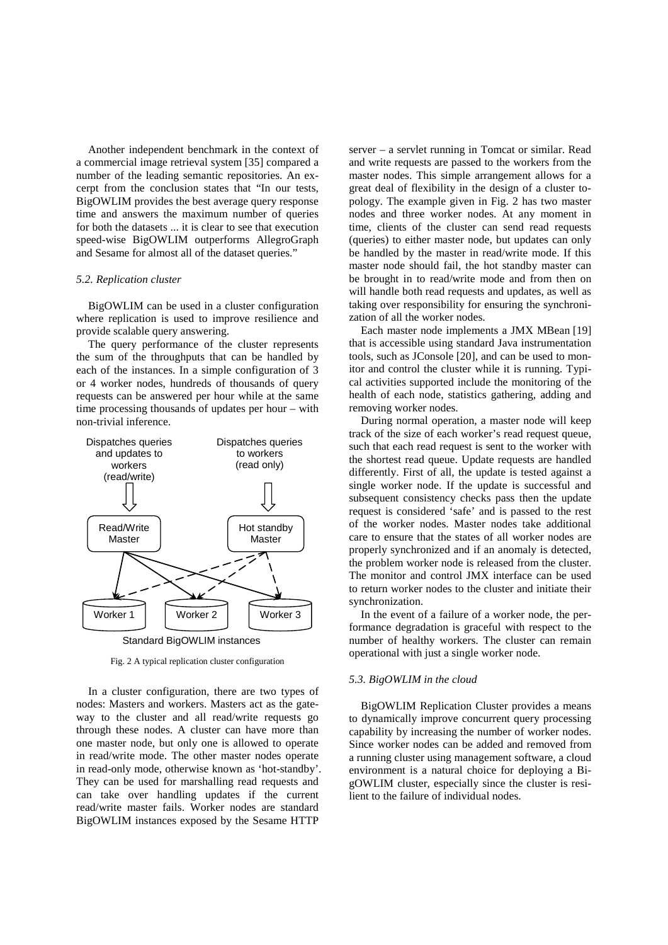Another independent benchmark in the context of a commercial image retrieval system [\[35\]](#page-9-24) compared a number of the leading semantic repositories. An excerpt from the conclusion states that "In our tests, BigOWLIM provides the best average query response time and answers the maximum number of queries for both the datasets ... it is clear to see that execution speed-wise BigOWLIM outperforms AllegroGraph and Sesame for almost all of the dataset queries."

## *5.2. Replication cluster*

BigOWLIM can be used in a cluster configuration where replication is used to improve resilience and provide scalable query answering.

The query performance of the cluster represents the sum of the throughputs that can be handled by each of the instances. In a simple configuration of 3 or 4 worker nodes, hundreds of thousands of query requests can be answered per hour while at the same time processing thousands of updates per hour – with non-trivial inference.



Fig. 2 A typical replication cluster configuration

<span id="page-7-0"></span>In a cluster configuration, there are two types of nodes: Masters and workers. Masters act as the gateway to the cluster and all read/write requests go through these nodes. A cluster can have more than one master node, but only one is allowed to operate in read/write mode. The other master nodes operate in read-only mode, otherwise known as 'hot-standby'. They can be used for marshalling read requests and can take over handling updates if the current read/write master fails. Worker nodes are standard BigOWLIM instances exposed by the Sesame HTTP

server – a servlet running in Tomcat or similar. Read and write requests are passed to the workers from the master nodes. This simple arrangement allows for a great deal of flexibility in the design of a cluster topology. The example given in [Fig. 2](#page-7-0) has two master nodes and three worker nodes. At any moment in time, clients of the cluster can send read requests (queries) to either master node, but updates can only be handled by the master in read/write mode. If this master node should fail, the hot standby master can be brought in to read/write mode and from then on will handle both read requests and updates, as well as taking over responsibility for ensuring the synchronization of all the worker nodes.

Each master node implements a JMX MBean [\[19\]](#page-9-25) that is accessible using standard Java instrumentation tools, such as JConsole [\[20\]](#page-9-26), and can be used to monitor and control the cluster while it is running. Typical activities supported include the monitoring of the health of each node, statistics gathering, adding and removing worker nodes.

During normal operation, a master node will keep track of the size of each worker's read request queue, such that each read request is sent to the worker with the shortest read queue. Update requests are handled differently. First of all, the update is tested against a single worker node. If the update is successful and subsequent consistency checks pass then the update request is considered 'safe' and is passed to the rest of the worker nodes. Master nodes take additional care to ensure that the states of all worker nodes are properly synchronized and if an anomaly is detected, the problem worker node is released from the cluster. The monitor and control JMX interface can be used to return worker nodes to the cluster and initiate their synchronization.

In the event of a failure of a worker node, the performance degradation is graceful with respect to the number of healthy workers. The cluster can remain operational with just a single worker node.

#### *5.3. BigOWLIM in the cloud*

BigOWLIM Replication Cluster provides a means to dynamically improve concurrent query processing capability by increasing the number of worker nodes. Since worker nodes can be added and removed from a running cluster using management software, a cloud environment is a natural choice for deploying a BigOWLIM cluster, especially since the cluster is resilient to the failure of individual nodes.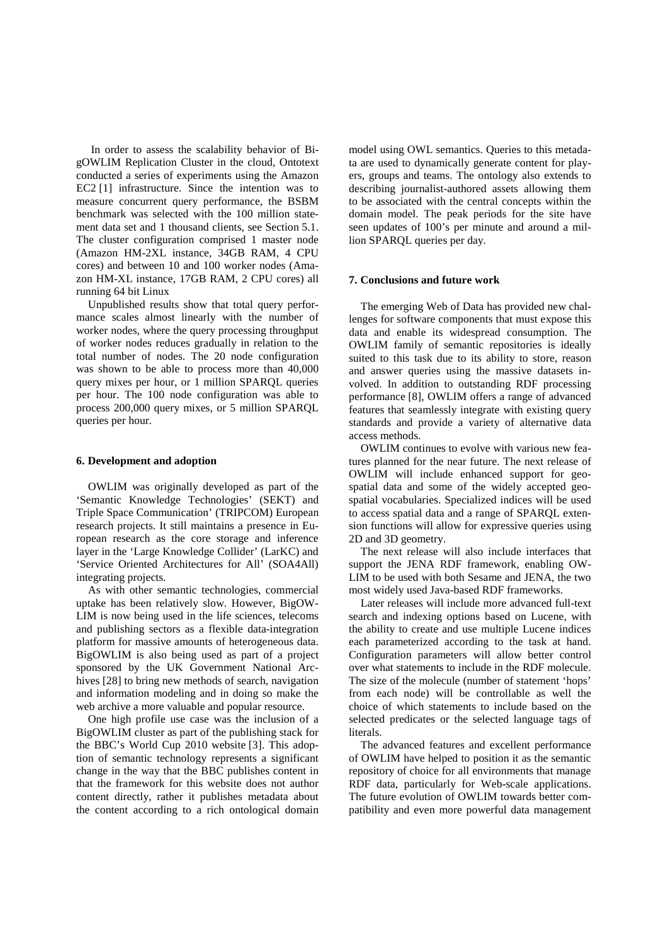In order to assess the scalability behavior of BigOWLIM Replication Cluster in the cloud, Ontotext conducted a series of experiments using the Amazon EC2 [\[1\]](#page-9-27) infrastructure. Since the intention was to measure concurrent query performance, the BSBM benchmark was selected with the 100 million statement data set and 1 thousand clients, see Section [5.1.](#page-6-1) The cluster configuration comprised 1 master node (Amazon HM-2XL instance, 34GB RAM, 4 CPU cores) and between 10 and 100 worker nodes (Amazon HM-XL instance, 17GB RAM, 2 CPU cores) all running 64 bit Linux

Unpublished results show that total query performance scales almost linearly with the number of worker nodes, where the query processing throughput of worker nodes reduces gradually in relation to the total number of nodes. The 20 node configuration was shown to be able to process more than 40,000 query mixes per hour, or 1 million SPARQL queries per hour. The 100 node configuration was able to process 200,000 query mixes, or 5 million SPARQL queries per hour.

## <span id="page-8-0"></span>**6. Development and adoption**

OWLIM was originally developed as part of the 'Semantic Knowledge Technologies' (SEKT) and Triple Space Communication' (TRIPCOM) European research projects. It still maintains a presence in European research as the core storage and inference layer in the 'Large Knowledge Collider' (LarKC) and 'Service Oriented Architectures for All' (SOA4All) integrating projects.

As with other semantic technologies, commercial uptake has been relatively slow. However, BigOW-LIM is now being used in the life sciences, telecoms and publishing sectors as a flexible data-integration platform for massive amounts of heterogeneous data. BigOWLIM is also being used as part of a project sponsored by the UK Government National Archives [\[28\]](#page-9-13) to bring new methods of search, navigation and information modeling and in doing so make the web archive a more valuable and popular resource.

One high profile use case was the inclusion of a BigOWLIM cluster as part of the publishing stack for the BBC's World Cup 2010 website [\[3\]](#page-9-2). This adoption of semantic technology represents a significant change in the way that the BBC publishes content in that the framework for this website does not author content directly, rather it publishes metadata about the content according to a rich ontological domain

model using OWL semantics. Queries to this metadata are used to dynamically generate content for players, groups and teams. The ontology also extends to describing journalist-authored assets allowing them to be associated with the central concepts within the domain model. The peak periods for the site have seen updates of 100's per minute and around a million SPARQL queries per day.

#### <span id="page-8-1"></span>**7. Conclusions and future work**

The emerging Web of Data has provided new challenges for software components that must expose this data and enable its widespread consumption. The OWLIM family of semantic repositories is ideally suited to this task due to its ability to store, reason and answer queries using the massive datasets involved. In addition to outstanding RDF processing performance [\[8\]](#page-9-22), OWLIM offers a range of advanced features that seamlessly integrate with existing query standards and provide a variety of alternative data access methods.

OWLIM continues to evolve with various new features planned for the near future. The next release of OWLIM will include enhanced support for geospatial data and some of the widely accepted geospatial vocabularies. Specialized indices will be used to access spatial data and a range of SPARQL extension functions will allow for expressive queries using 2D and 3D geometry.

The next release will also include interfaces that support the JENA RDF framework, enabling OW-LIM to be used with both Sesame and JENA, the two most widely used Java-based RDF frameworks.

Later releases will include more advanced full-text search and indexing options based on Lucene, with the ability to create and use multiple Lucene indices each parameterized according to the task at hand. Configuration parameters will allow better control over what statements to include in the RDF molecule. The size of the molecule (number of statement 'hops' from each node) will be controllable as well the choice of which statements to include based on the selected predicates or the selected language tags of literals.

The advanced features and excellent performance of OWLIM have helped to position it as the semantic repository of choice for all environments that manage RDF data, particularly for Web-scale applications. The future evolution of OWLIM towards better compatibility and even more powerful data management